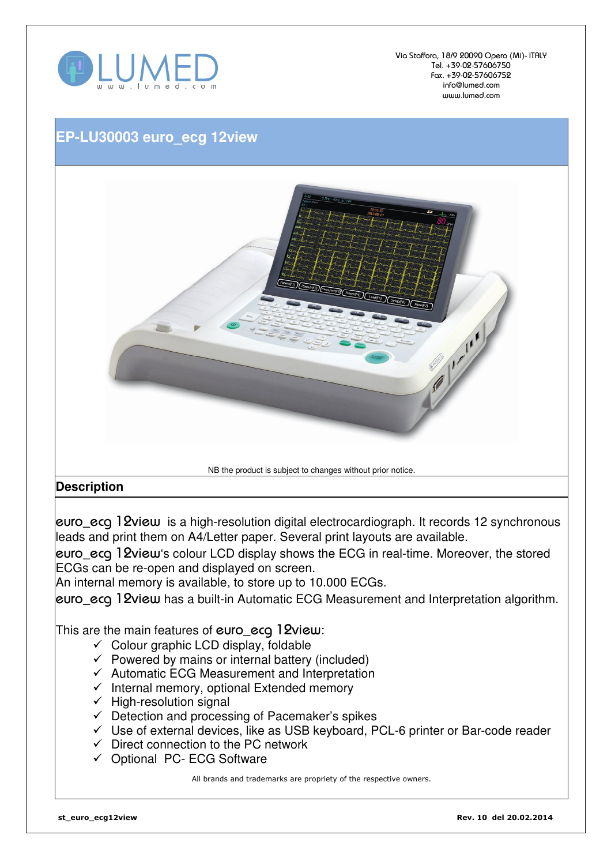

Via Staffora, 18/9 20090 Opera (Mi)- ITALY Tel. +39-02-57606750 Fax. +39-02-57606752 info@lumed.com www.lumed.com

## **EP-LU30003 euro\_ecg 12view**



## **Description**

euro\_ecg 12view is a high-resolution digital electrocardiograph. It records 12 synchronous leads and print them on A4/Letter paper. Several print layouts are available.

euro\_ecg 12view's colour LCD display shows the ECG in real-time. Moreover, the stored ECGs can be re-open and displayed on screen.

An internal memory is available, to store up to 10.000 ECGs.

euro ecg 12view has a built-in Automatic ECG Measurement and Interpretation algorithm.

This are the main features of euro\_ecq 12view:

- $\checkmark$  Colour graphic LCD display, foldable
- $\checkmark$  Powered by mains or internal battery (included)
- $\checkmark$  Automatic ECG Measurement and Interpretation
- $\checkmark$  Internal memory, optional Extended memory
- $\checkmark$  High-resolution signal
- $\checkmark$  Detection and processing of Pacemaker's spikes
- $\checkmark$  Use of external devices, like as USB keyboard, PCL-6 printer or Bar-code reader
- $\checkmark$  Direct connection to the PC network
- Optional PC- ECG Software

All brands and trademarks are propriety of the respective owners.